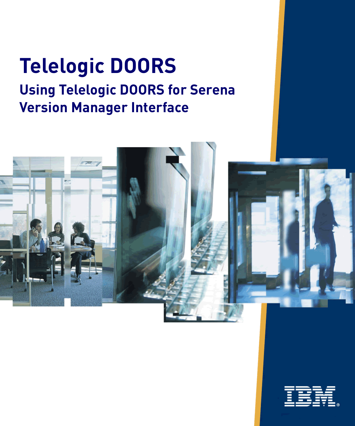## **Telelogic DOORS Using Telelogic DOORS for Serena Version Manager Interface**



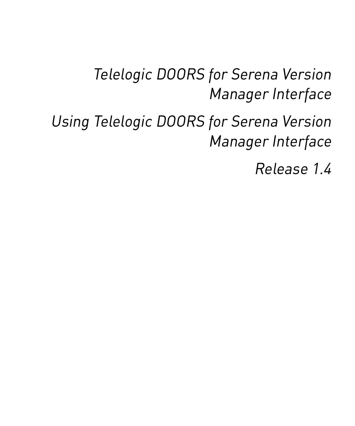*Telelogic DOORS for Serena Version Manager Interface*

*Using Telelogic DOORS for Serena Version Manager Interface*

*Release 1.4*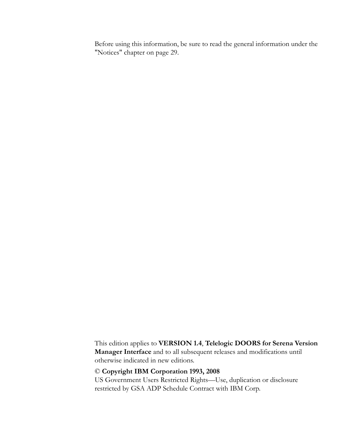Before using this information, be sure to read the general information under the ["Notices" chapter on page 29.](#page-34-0)

This edition applies to **VERSION 1.4**, **Telelogic DOORS for Serena Version Manager Interface** and to all subsequent releases and modifications until otherwise indicated in new editions.

#### © **Copyright IBM Corporation 1993, 2008**

US Government Users Restricted Rights—Use, duplication or disclosure restricted by GSA ADP Schedule Contract with IBM Corp.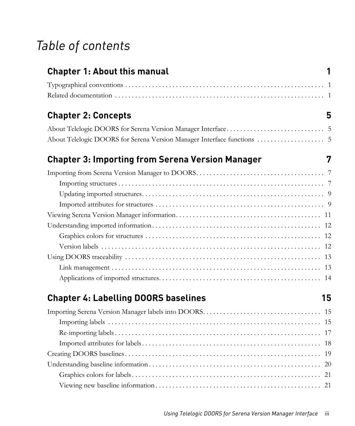## *Table of contents*

| <b>Chapter 1: About this manual</b>                                     | 1 |
|-------------------------------------------------------------------------|---|
|                                                                         |   |
|                                                                         |   |
| <b>Chapter 2: Concepts</b>                                              | 5 |
|                                                                         |   |
| About Telelogic DOORS for Serena Version Manager Interface functions  5 |   |
| <b>Chapter 3: Importing from Serena Version Manager</b>                 | 7 |
|                                                                         |   |
|                                                                         |   |
|                                                                         |   |
|                                                                         |   |
|                                                                         |   |
|                                                                         |   |
|                                                                         |   |
|                                                                         |   |
|                                                                         |   |
|                                                                         |   |
|                                                                         |   |
| <b>Chapter 4: Labelling DOORS baselines</b><br>15                       |   |
|                                                                         |   |
|                                                                         |   |
|                                                                         |   |
|                                                                         |   |
|                                                                         |   |
|                                                                         |   |
|                                                                         |   |
|                                                                         |   |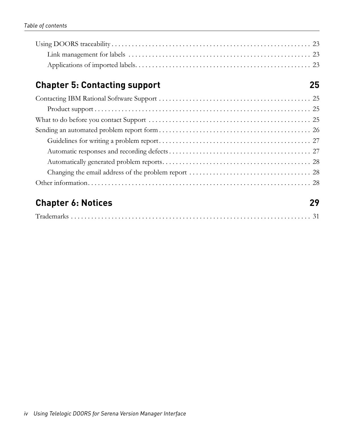## **Chapter 5: Contacting support**

## **[Chapter 6: Notices 29](#page-34-1)**

|--|--|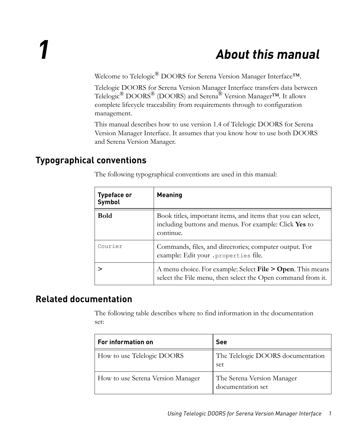## *1 About this manual*

<span id="page-6-0"></span>Welcome to Telelogic<sup>®</sup> DOORS for Serena Version Manager Interface<sup>™.</sup>

Telelogic DOORS for Serena Version Manager Interface transfers data between Telelogic<sup>®</sup> DOORS<sup>®</sup> (DOORS) and Serena<sup>®</sup> Version Manager<sup>™</sup>. It allows complete lifecycle traceability from requirements through to configuration management.

This manual describes how to use version 1.4 of Telelogic DOORS for Serena Version Manager Interface. It assumes that you know how to use both DOORS and Serena Version Manager.

## <span id="page-6-1"></span>**Typographical conventions**

The following typographical conventions are used in this manual:

| <b>Typeface or</b><br>Symbol | <b>Meaning</b>                                                                                                                      |
|------------------------------|-------------------------------------------------------------------------------------------------------------------------------------|
| <b>Bold</b>                  | Book titles, important items, and items that you can select,<br>including buttons and menus. For example: Click Yes to<br>continue. |
| Courier                      | Commands, files, and directories; computer output. For<br>example: Edit your .properties file.                                      |
|                              | A menu choice. For example: Select File > Open. This means<br>select the File menu, then select the Open command from it.           |

## <span id="page-6-2"></span>**Related documentation**

The following table describes where to find information in the documentation set:

| <b>For information on</b>         | See                                             |
|-----------------------------------|-------------------------------------------------|
| How to use Telelogic DOORS        | The Telelogic DOORS documentation<br>set        |
| How to use Serena Version Manager | The Serena Version Manager<br>documentation set |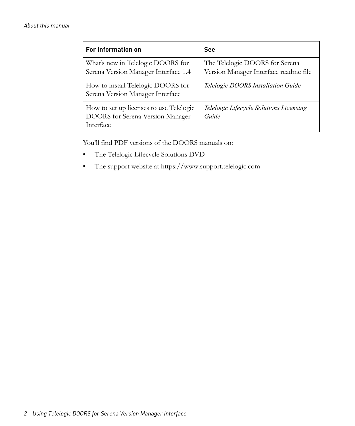| For information on                                                                       | See                                                                     |
|------------------------------------------------------------------------------------------|-------------------------------------------------------------------------|
| What's new in Telelogic DOORS for<br>Serena Version Manager Interface 1.4                | The Telelogic DOORS for Serena<br>Version Manager Interface readme file |
| How to install Telelogic DOORS for<br>Serena Version Manager Interface                   | Telelogic DOORS Installation Guide                                      |
| How to set up licenses to use Telelogic<br>DOORS for Serena Version Manager<br>Interface | Telelogic Lifecycle Solutions Licensing<br>Guide                        |

You'll find PDF versions of the DOORS manuals on:

- The Telelogic Lifecycle Solutions DVD
- The support website at https://www.support.telelogic.com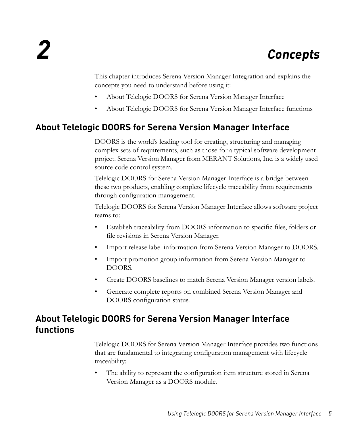# <span id="page-10-0"></span>*2 Concepts*

This chapter introduces Serena Version Manager Integration and explains the concepts you need to understand before using it:

- [About Telelogic DOORS for Serena Version Manager Interface](#page-10-1)
- [About Telelogic DOORS for Serena Version Manager Interface functions](#page-10-2)

## <span id="page-10-4"></span><span id="page-10-1"></span>**About Telelogic DOORS for Serena Version Manager Interface**

DOORS is the world's leading tool for creating, structuring and managing complex sets of requirements, such as those for a typical software development project. Serena Version Manager from MERANT Solutions, Inc. is a widely used source code control system.

Telelogic DOORS for Serena Version Manager Interface is a bridge between these two products, enabling complete lifecycle traceability from requirements through configuration management.

Telelogic DOORS for Serena Version Manager Interface allows software project teams to:

- Establish traceability from DOORS information to specific files, folders or file revisions in Serena Version Manager.
- Import release label information from Serena Version Manager to DOORS.
- Import promotion group information from Serena Version Manager to DOORS.
- Create DOORS baselines to match Serena Version Manager version labels.
- Generate complete reports on combined Serena Version Manager and DOORS configuration status.

## <span id="page-10-3"></span><span id="page-10-2"></span>**About Telelogic DOORS for Serena Version Manager Interface functions**

Telelogic DOORS for Serena Version Manager Interface provides two functions that are fundamental to integrating configuration management with lifecycle traceability:

The ability to represent the configuration item structure stored in Serena Version Manager as a DOORS module.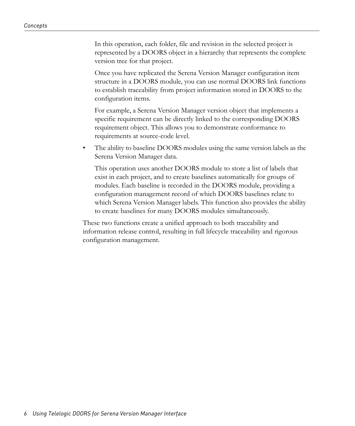In this operation, each folder, file and revision in the selected project is represented by a DOORS object in a hierarchy that represents the complete version tree for that project.

Once you have replicated the Serena Version Manager configuration item structure in a DOORS module, you can use normal DOORS link functions to establish traceability from project information stored in DOORS to the configuration items.

For example, a Serena Version Manager version object that implements a specific requirement can be directly linked to the corresponding DOORS requirement object. This allows you to demonstrate conformance to requirements at source-code level.

• The ability to baseline DOORS modules using the same version labels as the Serena Version Manager data.

This operation uses another DOORS module to store a list of labels that exist in each project, and to create baselines automatically for groups of modules. Each baseline is recorded in the DOORS module, providing a configuration management record of which DOORS baselines relate to which Serena Version Manager labels. This function also provides the ability to create baselines for many DOORS modules simultaneously.

These two functions create a unified approach to both traceability and information release control, resulting in full lifecycle traceability and rigorous configuration management.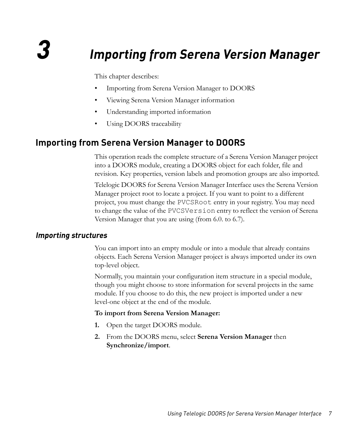## <span id="page-12-0"></span>*3 Importing from Serena Version Manager*

This chapter describes:

- [Importing from Serena Version Manager to DOORS](#page-12-1)
- [Viewing Serena Version Manager information](#page-16-0)
- [Understanding imported information](#page-17-0)
- [Using DOORS traceability](#page-18-0)

## <span id="page-12-3"></span><span id="page-12-1"></span>**Importing from Serena Version Manager to DOORS**

This operation reads the complete structure of a Serena Version Manager project into a DOORS module, creating a DOORS object for each folder, file and revision. Key properties, version labels and promotion groups are also imported.

Telelogic DOORS for Serena Version Manager Interface uses the Serena Version Manager project root to locate a project. If you want to point to a different project, you must change the PVCSRoot entry in your registry. You may need to change the value of the PVCSVersion entry to reflect the version of Serena Version Manager that you are using (from 6.0. to 6.7).

#### <span id="page-12-2"></span>*Importing structures*

You can import into an empty module or into a module that already contains objects. Each Serena Version Manager project is always imported under its own top-level object.

Normally, you maintain your configuration item structure in a special module, though you might choose to store information for several projects in the same module. If you choose to do this, the new project is imported under a new level-one object at the end of the module.

#### **To import from Serena Version Manager:**

- **1.** Open the target DOORS module.
- **2.** From the DOORS menu, select **Serena Version Manager** then **Synchronize/import**.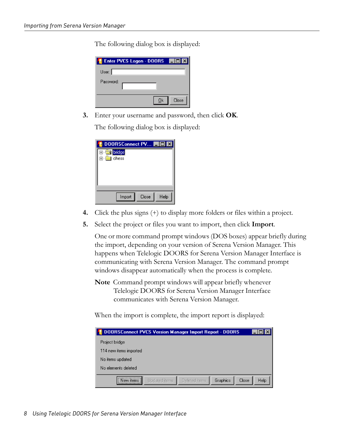The following dialog box is displayed:

| Enter PVCS Logon - DOORS |       |
|--------------------------|-------|
| User.                    |       |
| Password:                |       |
| Ūk                       | Close |

**3.** Enter your username and password, then click **OK**.

The following dialog box is displayed:

| DOORSConnect PV         |
|-------------------------|
| bridge)                 |
| chess                   |
|                         |
|                         |
|                         |
| Help<br>Import<br>Close |

- **4.** Click the plus signs (+) to display more folders or files within a project.
- **5.** Select the project or files you want to import, then click **Import**.

One or more command prompt windows (DOS boxes) appear briefly during the import, depending on your version of Serena Version Manager. This happens when Telelogic DOORS for Serena Version Manager Interface is communicating with Serena Version Manager. The command prompt windows disappear automatically when the process is complete.

**Note** Command prompt windows will appear briefly whenever Telelogic DOORS for Serena Version Manager Interface communicates with Serena Version Manager.

When the import is complete, the import report is displayed:

| <b>DOORSConnect PVCS Version Manager Import Report - DOORS</b> |               |               |          |       |      |
|----------------------------------------------------------------|---------------|---------------|----------|-------|------|
| Project bridge                                                 |               |               |          |       |      |
| 114 new items imported                                         |               |               |          |       |      |
| No items updated                                               |               |               |          |       |      |
| No elements deleted                                            |               |               |          |       |      |
| New items                                                      | Updated items | Deleted items | Graphics | Close | Help |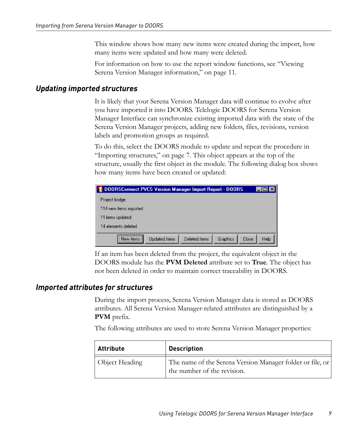This window shows how many new items were created during the import, how many items were updated and how many were deleted.

For information on how to use the report window functions, see ["Viewing](#page-16-0)  [Serena Version Manager information," on page 11.](#page-16-0)

#### <span id="page-14-3"></span><span id="page-14-0"></span>*Updating imported structures*

It is likely that your Serena Version Manager data will continue to evolve after you have imported it into DOORS. Telelogic DOORS for Serena Version Manager Interface can synchronize existing imported data with the state of the Serena Version Manager projects, adding new folders, files, revisions, version labels and promotion groups as required.

To do this, select the DOORS module to update and repeat the procedure in ["Importing structures," on page 7](#page-12-2). This object appears at the top of the structure, usually the first object in the module. The following dialog box shows how many items have been created or updated:

| DOORSConnect PVCS Version Manager Import Report - DOORS |               |          |       |      |
|---------------------------------------------------------|---------------|----------|-------|------|
| Project bridge                                          |               |          |       |      |
| 114 new items imported                                  |               |          |       |      |
| 11 items updated                                        |               |          |       |      |
| 14 elements deleted.                                    |               |          |       |      |
| <br>Updated items<br>New items i                        | Deleted items | Graphics | Close | Help |

If an item has been deleted from the project, the equivalent object in the DOORS module has the **PVM Deleted** attribute set to **True**. The object has not been deleted in order to maintain correct traceability in DOORS.

#### <span id="page-14-2"></span><span id="page-14-1"></span>*Imported attributes for structures*

During the import process, Serena Version Manager data is stored as DOORS attributes. All Serena Version Manager-related attributes are distinguished by a **PVM** prefix.

The following attributes are used to store Serena Version Manager properties:

| <b>Attribute</b> | <b>Description</b>                                                                       |
|------------------|------------------------------------------------------------------------------------------|
| Object Heading   | The name of the Serena Version Manager folder or file, or<br>the number of the revision. |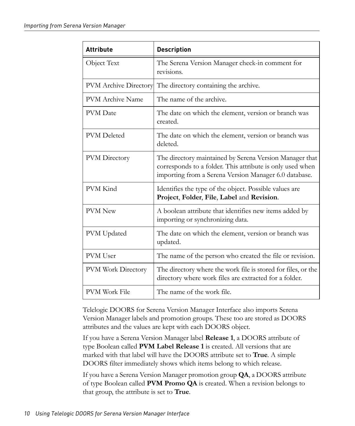| <b>Attribute</b>             | <b>Description</b>                                                                                                                                                            |
|------------------------------|-------------------------------------------------------------------------------------------------------------------------------------------------------------------------------|
| Object Text                  | The Serena Version Manager check-in comment for<br>revisions.                                                                                                                 |
| <b>PVM Archive Directory</b> | The directory containing the archive.                                                                                                                                         |
| PVM Archive Name             | The name of the archive.                                                                                                                                                      |
| <b>PVM</b> Date              | The date on which the element, version or branch was<br>created.                                                                                                              |
| <b>PVM</b> Deleted           | The date on which the element, version or branch was<br>deleted.                                                                                                              |
| PVM Directory                | The directory maintained by Serena Version Manager that<br>corresponds to a folder. This attribute is only used when<br>importing from a Serena Version Manager 6.0 database. |
| PVM Kind                     | Identifies the type of the object. Possible values are<br>Project, Folder, File, Label and Revision.                                                                          |
| <b>PVM New</b>               | A boolean attribute that identifies new items added by<br>importing or synchronizing data.                                                                                    |
| PVM Updated                  | The date on which the element, version or branch was<br>updated.                                                                                                              |
| PVM User                     | The name of the person who created the file or revision.                                                                                                                      |
| <b>PVM Work Directory</b>    | The directory where the work file is stored for files, or the<br>directory where work files are extracted for a folder.                                                       |
| <b>PVM Work File</b>         | The name of the work file.                                                                                                                                                    |

Telelogic DOORS for Serena Version Manager Interface also imports Serena Version Manager labels and promotion groups. These too are stored as DOORS attributes and the values are kept with each DOORS object.

If you have a Serena Version Manager label **Release 1**, a DOORS attribute of type Boolean called **PVM Label Release 1** is created. All versions that are marked with that label will have the DOORS attribute set to **True**. A simple DOORS filter immediately shows which items belong to which release.

If you have a Serena Version Manager promotion group **QA**, a DOORS attribute of type Boolean called **PVM Promo QA** is created. When a revision belongs to that group, the attribute is set to **True**.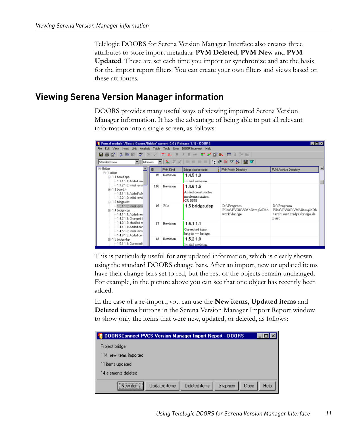Telelogic DOORS for Serena Version Manager Interface also creates three attributes to store import metadata: **PVM Deleted**, **PVM New** and **PVM Updated**. These are set each time you import or synchronize and are the basis for the import report filters. You can create your own filters and views based on these attributes.

## <span id="page-16-1"></span><span id="page-16-0"></span>**Viewing Serena Version Manager information**

DOORS provides many useful ways of viewing imported Serena Version Manager information. It has the advantage of being able to put all relevant information into a single screen, as follows:

| $\Box$<br>E Formal module '/Board Games/Bridge' current 0.0 ( Release 1.1) - DOORS                                        |     |          |                                                    |                                                             |                                                                             |
|---------------------------------------------------------------------------------------------------------------------------|-----|----------|----------------------------------------------------|-------------------------------------------------------------|-----------------------------------------------------------------------------|
| Insert Link Analysis Table Tools User<br>Edit View<br>DOORSconnect Help<br>File                                           |     |          |                                                    |                                                             |                                                                             |
| BGC X BC V X V T E B / U # F F G & B T } @                                                                                |     |          |                                                    |                                                             |                                                                             |
| Standard view                                                                                                             |     |          |                                                    | <u>▼│Allevels ▼│ ኤ.      ⋿ ≡ ≡ ≡ │  ¦   ≮ い ▽ 夕│ 金 07  </u> |                                                                             |
| ⊟-Bridge                                                                                                                  | ID. | PVM Kind | Bridge source code                                 | <b>PVM Work Directory</b>                                   | $\blacktriangle$<br>PVM Archive Directory                                   |
| <b>E</b> 1 bridge<br>-1.1 board.cpp                                                                                       | 15  | Revision | 1.4.511.0                                          |                                                             |                                                                             |
| $-1.1.1$ 1.1: Added sen                                                                                                   |     |          | Initial revision.                                  |                                                             |                                                                             |
| $-1.1.21.0$ : Initial revisi-                                                                                             | 116 | Revision | 1.4.6 1.5                                          |                                                             |                                                                             |
| $= -1.2$ board h<br>$-1.2111$ : Added WM<br>$-1.2.21.0$ : Initial revisi                                                  |     |          | Added constructor<br>implementation.<br>CR 5378    |                                                             |                                                                             |
| □-1.3 bridge.clw<br>$-1.3.1$ 1.0: Initial revisi<br>□ 1.4 bridge.cpp<br>$-1.4.114$ : Added new<br>$-1.4.21.3$ Changed the | 16  | File     | 1.5 bridge.dsp                                     | D:\Program<br>Files\PVCS\VM\SampleDb\<br>work\bridge        | D:\Program<br>Files\PVCS\VM\SampleDb<br>\archives\bridge\bridge.ds<br>p-arc |
| $-1.4.31.2$ Modified m<br>$-1.4.4$ 1.1: Added con<br>$-1.451.0$ : Initial revisi<br>$-1.4.61.5$ : Added con               | 17  | Revision | 1.5.1 1.1<br>Corrected typo<br>$bridge == bridge.$ |                                                             |                                                                             |
| $-1.5$ bridge.dsp<br>$-1.5.1$ 1.1: Corrected t                                                                            | 18  | Revision | 1.5.210<br>Initial revision.                       |                                                             |                                                                             |

This is particularly useful for any updated information, which is clearly shown using the standard DOORS change bars. After an import, new or updated items have their change bars set to red, but the rest of the objects remain unchanged. For example, in the picture above you can see that one object has recently been added.

In the case of a re-import, you can use the **New items**, **Updated items** and **Deleted items** buttons in the Serena Version Manager Import Report window to show only the items that were new, updated, or deleted, as follows:

| <b>BEDOORSConnect PVCS Version Manager Import Report - DOORS</b>              |      |
|-------------------------------------------------------------------------------|------|
| Project bridge                                                                |      |
| 114 new items imported                                                        |      |
| 11 items updated                                                              |      |
| 14 elements deleted                                                           |      |
| <br>Deleted items<br>Graphics<br><b>Updated</b> items<br>Close<br>New items i | Help |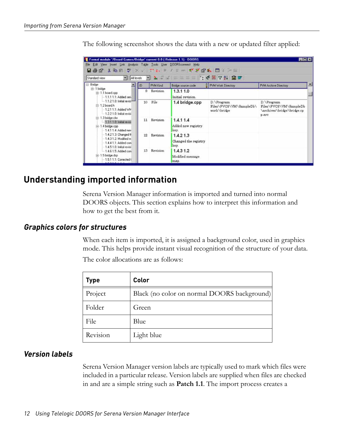The following screenshot shows the data with a new or updated filter applied:



## <span id="page-17-4"></span><span id="page-17-0"></span>**Understanding imported information**

Serena Version Manager information is imported and turned into normal DOORS objects. This section explains how to interpret this information and how to get the best from it.

#### <span id="page-17-3"></span><span id="page-17-1"></span>*Graphics colors for structures*

When each item is imported, it is assigned a background color, used in graphics mode. This helps provide instant visual recognition of the structure of your data.

| <b>Type</b> | Color                                       |
|-------------|---------------------------------------------|
| Project     | Black (no color on normal DOORS background) |
| Folder      | Green                                       |
| File        | Blue                                        |
| Revision    | Light blue                                  |

The color allocations are as follows:

#### <span id="page-17-5"></span><span id="page-17-2"></span>*Version labels*

Serena Version Manager version labels are typically used to mark which files were included in a particular release. Version labels are supplied when files are checked in and are a simple string such as **Patch 1.1**. The import process creates a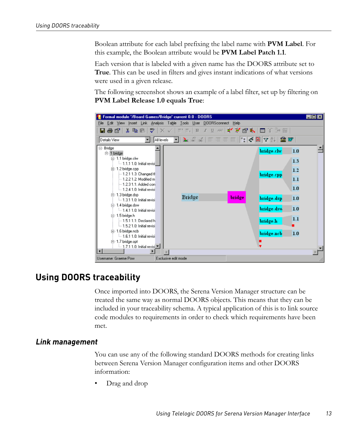Boolean attribute for each label prefixing the label name with **PVM Label**. For this example, the Boolean attribute would be **PVM Label Patch 1.1**.

Each version that is labeled with a given name has the DOORS attribute set to **True**. This can be used in filters and gives instant indications of what versions were used in a given release.

The following screenshot shows an example of a label filter, set up by filtering on **PVM Label Release 1.0 equals True**:



## <span id="page-18-3"></span><span id="page-18-0"></span>**Using DOORS traceability**

Once imported into DOORS, the Serena Version Manager structure can be treated the same way as normal DOORS objects. This means that they can be included in your traceability schema. A typical application of this is to link source code modules to requirements in order to check which requirements have been met.

#### <span id="page-18-2"></span><span id="page-18-1"></span>*Link management*

You can use any of the following standard DOORS methods for creating links between Serena Version Manager configuration items and other DOORS information:

• Drag and drop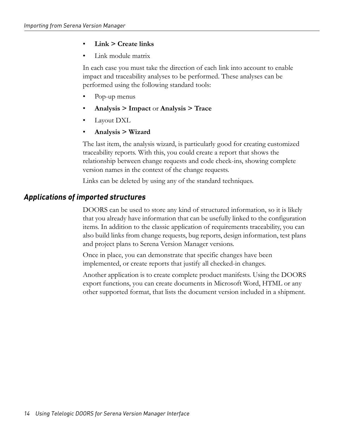#### • **Link > Create links**

Link module matrix

In each case you must take the direction of each link into account to enable impact and traceability analyses to be performed. These analyses can be performed using the following standard tools:

- Pop-up menus
- **Analysis > Impact** or **Analysis > Trace**
- Layout DXL
- **Analysis > Wizard**

The last item, the analysis wizard, is particularly good for creating customized traceability reports. With this, you could create a report that shows the relationship between change requests and code check-ins, showing complete version names in the context of the change requests.

Links can be deleted by using any of the standard techniques.

#### <span id="page-19-1"></span><span id="page-19-0"></span>*Applications of imported structures*

DOORS can be used to store any kind of structured information, so it is likely that you already have information that can be usefully linked to the configuration items. In addition to the classic application of requirements traceability, you can also build links from change requests, bug reports, design information, test plans and project plans to Serena Version Manager versions.

Once in place, you can demonstrate that specific changes have been implemented, or create reports that justify all checked-in changes.

Another application is to create complete product manifests. Using the DOORS export functions, you can create documents in Microsoft Word, HTML or any other supported format, that lists the document version included in a shipment.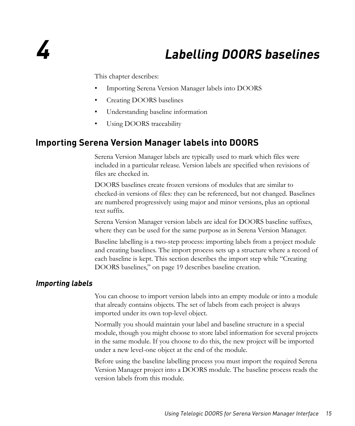## <span id="page-20-0"></span>*4 Labelling DOORS baselines*

This chapter describes:

- [Importing Serena Version Manager labels into DOORS](#page-20-1)
- [Creating DOORS baselines](#page-24-0)
- [Understanding baseline information](#page-25-0)
- [Using DOORS traceability](#page-28-0)

## <span id="page-20-3"></span><span id="page-20-1"></span>**Importing Serena Version Manager labels into DOORS**

Serena Version Manager labels are typically used to mark which files were included in a particular release. Version labels are specified when revisions of files are checked in.

DOORS baselines create frozen versions of modules that are similar to checked-in versions of files: they can be referenced, but not changed. Baselines are numbered progressively using major and minor versions, plus an optional text suffix.

Serena Version Manager version labels are ideal for DOORS baseline suffixes, where they can be used for the same purpose as in Serena Version Manager.

Baseline labelling is a two-step process: importing labels from a project module and creating baselines. The import process sets up a structure where a record of each baseline is kept. This section describes the import step while ["Creating](#page-24-0)  [DOORS baselines," on page 19](#page-24-0) describes baseline creation.

#### <span id="page-20-2"></span>*Importing labels*

You can choose to import version labels into an empty module or into a module that already contains objects. The set of labels from each project is always imported under its own top-level object.

Normally you should maintain your label and baseline structure in a special module, though you might choose to store label information for several projects in the same module. If you choose to do this, the new project will be imported under a new level-one object at the end of the module.

Before using the baseline labelling process you must import the required Serena Version Manager project into a DOORS module. The baseline process reads the version labels from this module.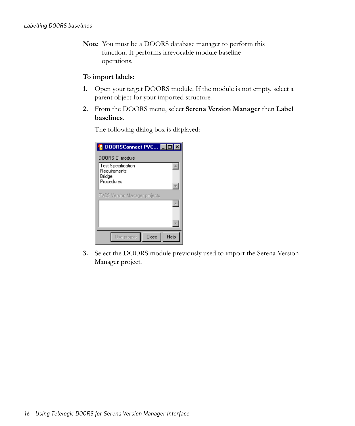**Note** You must be a DOORS database manager to perform this function. It performs irrevocable module baseline operations.

#### **To import labels:**

- **1.** Open your target DOORS module. If the module is not empty, select a parent object for your imported structure.
- **2.** From the DOORS menu, select **Serena Version Manager** then **Label baselines**.

DOORSConnect PVC... **THE** 

| DOORS CL module<br><b>Test Specification</b><br>Requirements<br>Bridge |      |
|------------------------------------------------------------------------|------|
| Procedures<br><b>PVCS Version Manager projects</b>                     |      |
|                                                                        |      |
| Close<br>Use project                                                   | Help |

**3.** Select the DOORS module previously used to import the Serena Version Manager project.

The following dialog box is displayed: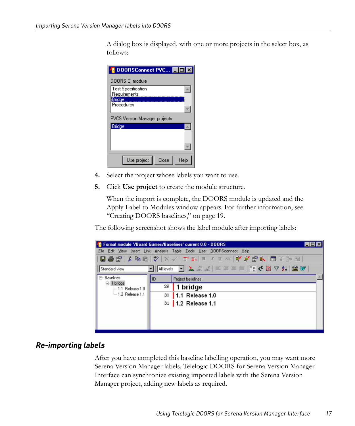A dialog box is displayed, with one or more projects in the select box, as follows:

| <b>DOORSConnect PVC</b>                   |
|-------------------------------------------|
| DOORS CL module                           |
| <b>Test Specification</b><br>Requirements |
| Bridge                                    |
| Procedures                                |
| <b>PVCS Version Manager projects</b>      |
| Bridge                                    |
|                                           |
|                                           |
|                                           |
| Close -<br>Use project<br>Help            |

- **4.** Select the project whose labels you want to use.
- **5.** Click **Use project** to create the module structure.

When the import is complete, the DOORS module is updated and the Apply Label to Modules window appears. For further information, see ["Creating DOORS baselines," on page 19](#page-24-0).

The following screenshot shows the label module after importing labels:



#### <span id="page-22-1"></span><span id="page-22-0"></span>*Re-importing labels*

After you have completed this baseline labelling operation, you may want more Serena Version Manager labels. Telelogic DOORS for Serena Version Manager Interface can synchronize existing imported labels with the Serena Version Manager project, adding new labels as required.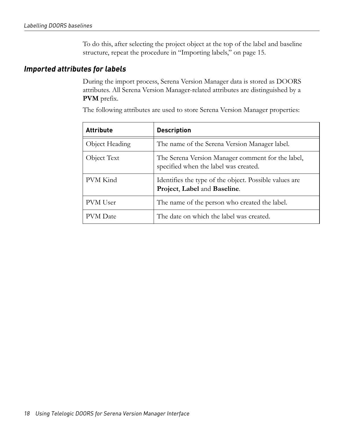To do this, after selecting the project object at the top of the label and baseline structure, repeat the procedure in ["Importing labels," on page 15](#page-20-2).

#### <span id="page-23-1"></span><span id="page-23-0"></span>*Imported attributes for labels*

During the import process, Serena Version Manager data is stored as DOORS attributes. All Serena Version Manager-related attributes are distinguished by a **PVM** prefix.

| <b>Attribute</b> | <b>Description</b>                                                                         |
|------------------|--------------------------------------------------------------------------------------------|
| Object Heading   | The name of the Serena Version Manager label.                                              |
| Object Text      | The Serena Version Manager comment for the label,<br>specified when the label was created. |
| PVM Kind         | Identifies the type of the object. Possible values are<br>Project, Label and Baseline.     |
| PVM User         | The name of the person who created the label.                                              |
| <b>PVM</b> Date  | The date on which the label was created.                                                   |

The following attributes are used to store Serena Version Manager properties: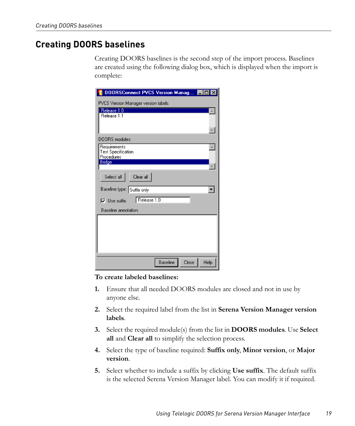## <span id="page-24-1"></span><span id="page-24-0"></span>**Creating DOORS baselines**

Creating DOORS baselines is the second step of the import process. Baselines are created using the following dialog box, which is displayed when the import is complete:

| DOORSConnect PVCS Version Manag           |
|-------------------------------------------|
| PVCS Version Manager version labels:      |
| Release 1.0                               |
| Release 1.1                               |
|                                           |
| DOORS modules:                            |
| Requirements<br><b>Test Specification</b> |
| Procedures                                |
| Bridge                                    |
| Clear all<br>Select all                   |
| Baseline type: Suffix only                |
| Release 1.0<br>$\nabla$ Use suffix        |
| Baseline annotation:                      |
|                                           |
|                                           |
|                                           |
|                                           |
|                                           |
| Baseline<br>Close<br>Help                 |

#### **To create labeled baselines:**

- **1.** Ensure that all needed DOORS modules are closed and not in use by anyone else.
- **2.** Select the required label from the list in **Serena Version Manager version labels**.
- **3.** Select the required module(s) from the list in **DOORS modules**. Use **Select all** and **Clear all** to simplify the selection process.
- **4.** Select the type of baseline required: **Suffix only**, **Minor version**, or **Major version**.
- **5.** Select whether to include a suffix by clicking **Use suffix**. The default suffix is the selected Serena Version Manager label. You can modify it if required.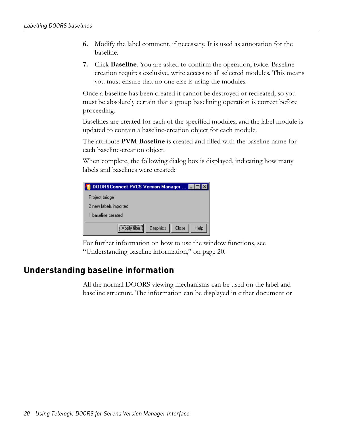- **6.** Modify the label comment, if necessary. It is used as annotation for the baseline.
- **7.** Click **Baseline**. You are asked to confirm the operation, twice. Baseline creation requires exclusive, write access to all selected modules. This means you must ensure that no one else is using the modules.

Once a baseline has been created it cannot be destroyed or recreated, so you must be absolutely certain that a group baselining operation is correct before proceeding.

Baselines are created for each of the specified modules, and the label module is updated to contain a baseline-creation object for each module.

The attribute **PVM Baseline** is created and filled with the baseline name for each baseline-creation object.

When complete, the following dialog box is displayed, indicating how many labels and baselines were created:

| DOORSConnect PVCS Version Manager <b>HO</b> X |
|-----------------------------------------------|
| Project bridge                                |
| 2 new labels imported                         |
| 1 haseline created                            |
| Graphics<br>Apply filter<br>Close<br>Help     |

For further information on how to use the window functions, see ["Understanding baseline information," on page 20.](#page-25-0)

## <span id="page-25-1"></span><span id="page-25-0"></span>**Understanding baseline information**

All the normal DOORS viewing mechanisms can be used on the label and baseline structure. The information can be displayed in either document or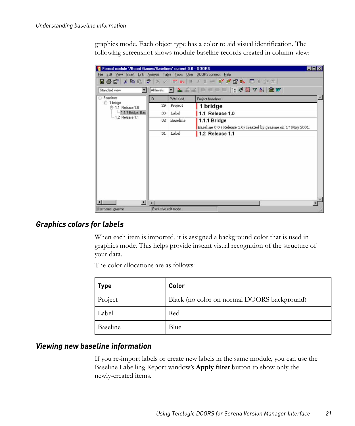graphics mode. Each object type has a color to aid visual identification. The following screenshot shows module baseline records created in column view:

|                                           |                           |          | ■●图 % 脑底 ♥ × √ F'F B / F # F'F B A B H B D # P B             |
|-------------------------------------------|---------------------------|----------|--------------------------------------------------------------|
| Standard view                             |                           |          | ▼   Allevels ▼   主意系系   三三三   1: ぐ盛 ▽ 24   盆 10              |
| <b>E</b> Baselines                        | ID                        | PVM Kind | Project baselines                                            |
| $\Box$ 1 bridge<br>F 1.1 Release 1.0      | 29                        | Project  | 1 bridge                                                     |
| 1.1.1 Bridge: Basi                        | 30                        | Label    | 1.1 Release 1.0                                              |
| $-1.2$ Release $1.1$                      | 32                        | Baseline | $1.1.1$ Bridge                                               |
|                                           |                           |          | Baseline 0.0 (Release 1.0) created by graeme on 17 May 2001. |
|                                           |                           | 31 Label | 1.2 Release 1.1                                              |
|                                           |                           |          |                                                              |
| $\blacktriangleright$<br>Username: graeme | K.<br>Exclusive edit mode |          |                                                              |

#### <span id="page-26-3"></span><span id="page-26-0"></span>*Graphics colors for labels*

When each item is imported, it is assigned a background color that is used in graphics mode. This helps provide instant visual recognition of the structure of your data.

The color allocations are as follows:

| <b>Type</b> | Color                                       |
|-------------|---------------------------------------------|
| Project     | Black (no color on normal DOORS background) |
| Label       | Red                                         |
| Baseline    | Blue                                        |

#### <span id="page-26-2"></span><span id="page-26-1"></span>*Viewing new baseline information*

If you re-import labels or create new labels in the same module, you can use the Baseline Labelling Report window's **Apply filter** button to show only the newly-created items.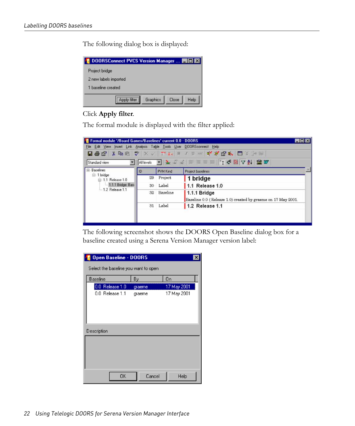The following dialog box is displayed:

| Project bridge                                   |          |       |      |
|--------------------------------------------------|----------|-------|------|
| 2 new labels imported                            |          |       |      |
| 1 baseline created                               |          |       |      |
| ,,,,,,,,,,,,,,,,,,,,,,,,,,,,,,,,<br>Apply filter | Graphics | Close | Help |

#### Click **Apply filter**.

The formal module is displayed with the filter applied:

|    |                 | $\blacksquare$ $\blacksquare$ $\times$                       |                                                                                                                                                                                               |
|----|-----------------|--------------------------------------------------------------|-----------------------------------------------------------------------------------------------------------------------------------------------------------------------------------------------|
|    |                 |                                                              |                                                                                                                                                                                               |
|    |                 |                                                              |                                                                                                                                                                                               |
|    |                 |                                                              |                                                                                                                                                                                               |
| ID | <b>PVM Kind</b> | Project baselines                                            |                                                                                                                                                                                               |
| 29 | Project         | 1 bridge                                                     |                                                                                                                                                                                               |
|    |                 | $1.1$ Release 1.0                                            |                                                                                                                                                                                               |
|    |                 | $1.1.1$ Bridge                                               |                                                                                                                                                                                               |
|    |                 | Baseline 0.0 (Release 1.0) created by graeme on 17 May 2001. |                                                                                                                                                                                               |
|    |                 | $1.2$ Release 1.1                                            |                                                                                                                                                                                               |
|    |                 |                                                              |                                                                                                                                                                                               |
|    |                 |                                                              |                                                                                                                                                                                               |
|    |                 | 30 Label<br>32 Baseline<br>31 Label                          | Formal module '/Board Games/Baselines' current 0.0 - DOORS<br>File Edit View Insert Link Analysis Table Tools User DOORSconnect Help<br><b>Bed Xbd V X / TE B / D / F Y F B &amp; B T P B</b> |

The following screenshot shows the DOORS Open Baseline dialog box for a baseline created using a Serena Version Manager version label:

| <b>Open Baseline - DOORS</b><br>$\boldsymbol{\mathsf{x}}$ |                       |             |  |  |
|-----------------------------------------------------------|-----------------------|-------------|--|--|
| Select the baseline you want to open                      |                       |             |  |  |
| <b>Baseline</b>                                           | By                    | On          |  |  |
| $0.0$ Release $1.0$                                       | graeme                | 17 May 2001 |  |  |
| $0.0$ Release $1.1$                                       | 17 May 2001<br>graeme |             |  |  |
| Description                                               |                       |             |  |  |
|                                                           |                       |             |  |  |
| OK                                                        | Cancel                | Help        |  |  |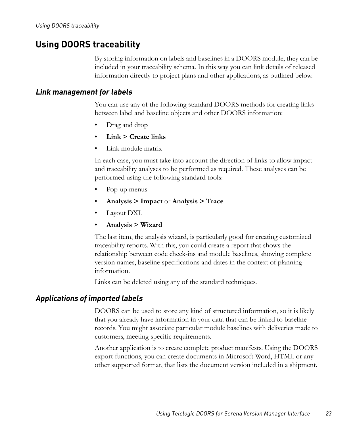## <span id="page-28-5"></span><span id="page-28-0"></span>**Using DOORS traceability**

By storing information on labels and baselines in a DOORS module, they can be included in your traceability schema. In this way you can link details of released information directly to project plans and other applications, as outlined below.

#### <span id="page-28-4"></span><span id="page-28-1"></span>*Link management for labels*

You can use any of the following standard DOORS methods for creating links between label and baseline objects and other DOORS information:

- Drag and drop
- **Link > Create links**
- Link module matrix

In each case, you must take into account the direction of links to allow impact and traceability analyses to be performed as required. These analyses can be performed using the following standard tools:

- Pop-up menus
- **Analysis > Impact** or **Analysis > Trace**
- Layout DXL
- **Analysis > Wizard**

The last item, the analysis wizard, is particularly good for creating customized traceability reports. With this, you could create a report that shows the relationship between code check-ins and module baselines, showing complete version names, baseline specifications and dates in the context of planning information.

Links can be deleted using any of the standard techniques.

#### <span id="page-28-3"></span><span id="page-28-2"></span>*Applications of imported labels*

DOORS can be used to store any kind of structured information, so it is likely that you already have information in your data that can be linked to baseline records. You might associate particular module baselines with deliveries made to customers, meeting specific requirements.

Another application is to create complete product manifests. Using the DOORS export functions, you can create documents in Microsoft Word, HTML or any other supported format, that lists the document version included in a shipment.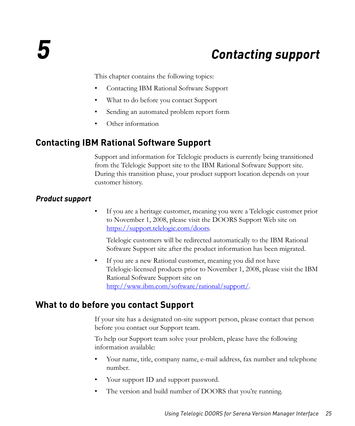## *5 Contacting support*

<span id="page-30-0"></span>This chapter contains the following topics:

- [Contacting IBM Rational Software Support](#page-30-1)
- [What to do before you contact Support](#page-30-3)
- [Sending an automated problem report form](#page-31-0)
- <span id="page-30-4"></span>• [Other information](#page-33-2)

## <span id="page-30-1"></span>**Contacting IBM Rational Software Support**

Support and information for Telelogic products is currently being transitioned from the Telelogic Support site to the IBM Rational Software Support site. During this transition phase, your product support location depends on your customer history.

#### <span id="page-30-2"></span>*Product support*

• If you are a heritage customer, meaning you were a Telelogic customer prior to November 1, 2008, please visit the DOORS Support Web site on https://support.telelogic.com/doors.

Telelogic customers will be redirected automatically to the IBM Rational Software Support site after the product information has been migrated.

If you are a new Rational customer, meaning you did not have Telelogic-licensed products prior to November 1, 2008, please visit the IBM Rational Software Support site on http://www.ibm.com/software/rational/support/.

### <span id="page-30-3"></span>**What to do before you contact Support**

If your site has a designated on-site support person, please contact that person before you contact our Support team.

To help our Support team solve your problem, please have the following information available:

- Your name, title, company name, e-mail address, fax number and telephone number.
- Your support ID and support password.
- The version and build number of DOORS that you're running.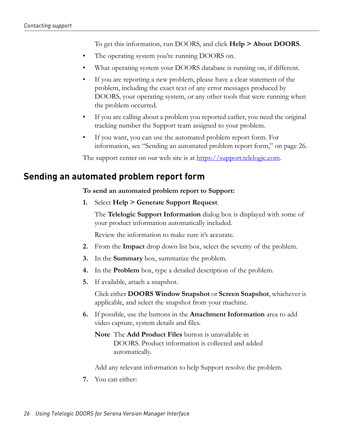To get this information, run DOORS, and click **Help > About DOORS**.

- The operating system you're running DOORS on.
- What operating system your DOORS database is running on, if different.
- If you are reporting a new problem, please have a clear statement of the problem, including the exact text of any error messages produced by DOORS, your operating system, or any other tools that were running when the problem occurred.
- If you are calling about a problem you reported earlier, you need the original tracking number the Support team assigned to your problem.
- If you want, you can use the automated problem report form. For information, see ["Sending an automated problem report form," on page 26.](#page-31-0)

<span id="page-31-1"></span>The support center on our web site is at https://support.telelogic.com.

#### <span id="page-31-0"></span>**Sending an automated problem report form**

**To send an automated problem report to Support:**

**1.** Select **Help > Generate Support Request**.

The **Telelogic Support Information** dialog box is displayed with some of your product information automatically included.

Review the information to make sure it's accurate.

- **2.** From the **Impact** drop down list box, select the severity of the problem.
- **3.** In the **Summary** box, summarize the problem.
- **4.** In the **Problem** box, type a detailed description of the problem.
- **5.** If available, attach a snapshot.

Click either **DOORS Window Snapshot** or **Screen Snapshot**, whichever is applicable, and select the snapshot from your machine.

- **6.** If possible, use the buttons in the **Attachment Information** area to add video capture, system details and files.
	- **Note** The **Add Product Files** button is unavailable in DOORS. Product information is collected and added automatically.

Add any relevant information to help Support resolve the problem.

**7.** You can either: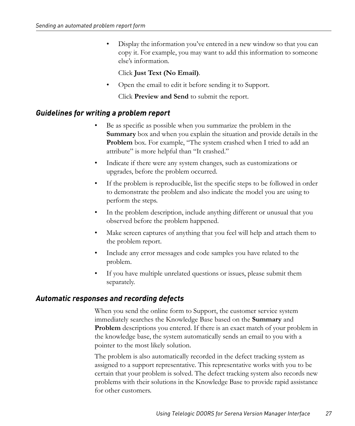• Display the information you've entered in a new window so that you can copy it. For example, you may want to add this information to someone else's information.

#### Click **Just Text (No Email)**.

• Open the email to edit it before sending it to Support.

Click **Preview and Send** to submit the report.

#### <span id="page-32-0"></span>*Guidelines for writing a problem report*

- Be as specific as possible when you summarize the problem in the **Summary** box and when you explain the situation and provide details in the **Problem** box. For example, "The system crashed when I tried to add an attribute" is more helpful than "It crashed."
- Indicate if there were any system changes, such as customizations or upgrades, before the problem occurred.
- If the problem is reproducible, list the specific steps to be followed in order to demonstrate the problem and also indicate the model you are using to perform the steps.
- In the problem description, include anything different or unusual that you observed before the problem happened.
- Make screen captures of anything that you feel will help and attach them to the problem report.
- Include any error messages and code samples you have related to the problem.
- If you have multiple unrelated questions or issues, please submit them separately.

#### <span id="page-32-1"></span>*Automatic responses and recording defects*

When you send the online form to Support, the customer service system immediately searches the Knowledge Base based on the **Summary** and **Problem** descriptions you entered. If there is an exact match of your problem in the knowledge base, the system automatically sends an email to you with a pointer to the most likely solution.

The problem is also automatically recorded in the defect tracking system as assigned to a support representative. This representative works with you to be certain that your problem is solved. The defect tracking system also records new problems with their solutions in the Knowledge Base to provide rapid assistance for other customers.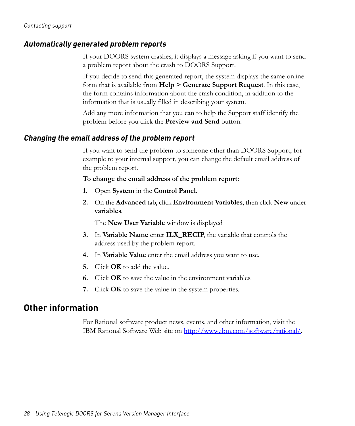#### <span id="page-33-0"></span>*Automatically generated problem reports*

If your DOORS system crashes, it displays a message asking if you want to send a problem report about the crash to DOORS Support.

If you decide to send this generated report, the system displays the same online form that is available from **Help > Generate Support Request**. In this case, the form contains information about the crash condition, in addition to the information that is usually filled in describing your system.

<span id="page-33-3"></span>Add any more information that you can to help the Support staff identify the problem before you click the **Preview and Send** button.

#### <span id="page-33-1"></span>*Changing the email address of the problem report*

If you want to send the problem to someone other than DOORS Support, for example to your internal support, you can change the default email address of the problem report.

#### **To change the email address of the problem report:**

- **1.** Open **System** in the **Control Panel**.
- **2.** On the **Advanced** tab, click **Environment Variables**, then click **New** under **variables**.

The **New User Variable** window is displayed

- **3.** In **Variable Name** enter **ILX\_RECIP**, the variable that controls the address used by the problem report.
- **4.** In **Variable Value** enter the email address you want to use.
- **5.** Click **OK** to add the value.
- **6.** Click **OK** to save the value in the environment variables.
- **7.** Click **OK** to save the value in the system properties.

#### <span id="page-33-2"></span>**Other information**

For Rational software product news, events, and other information, visit the IBM Rational Software Web site on http://www.ibm.com/software/rational/.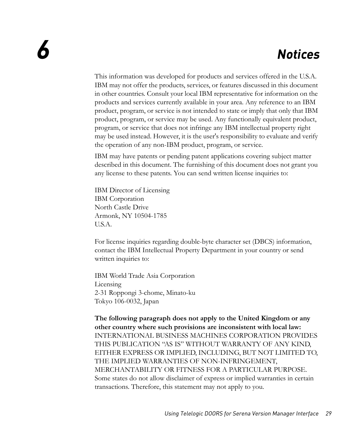# <span id="page-34-1"></span>*6 Notices*

<span id="page-34-0"></span>This information was developed for products and services offered in the U.S.A. IBM may not offer the products, services, or features discussed in this document in other countries. Consult your local IBM representative for information on the products and services currently available in your area. Any reference to an IBM product, program, or service is not intended to state or imply that only that IBM product, program, or service may be used. Any functionally equivalent product, program, or service that does not infringe any IBM intellectual property right may be used instead. However, it is the user's responsibility to evaluate and verify the operation of any non-IBM product, program, or service.

IBM may have patents or pending patent applications covering subject matter described in this document. The furnishing of this document does not grant you any license to these patents. You can send written license inquiries to:

IBM Director of Licensing IBM Corporation North Castle Drive Armonk, NY 10504-1785 U.S.A.

For license inquiries regarding double-byte character set (DBCS) information, contact the IBM Intellectual Property Department in your country or send written inquiries to:

IBM World Trade Asia Corporation Licensing 2-31 Roppongi 3-chome, Minato-ku Tokyo 106-0032, Japan

**The following paragraph does not apply to the United Kingdom or any other country where such provisions are inconsistent with local law:** INTERNATIONAL BUSINESS MACHINES CORPORATION PROVIDES THIS PUBLICATION "AS IS" WITHOUT WARRANTY OF ANY KIND, EITHER EXPRESS OR IMPLIED, INCLUDING, BUT NOT LIMITED TO, THE IMPLIED WARRANTIES OF NON-INFRINGEMENT, MERCHANTABILITY OR FITNESS FOR A PARTICULAR PURPOSE. Some states do not allow disclaimer of express or implied warranties in certain transactions. Therefore, this statement may not apply to you.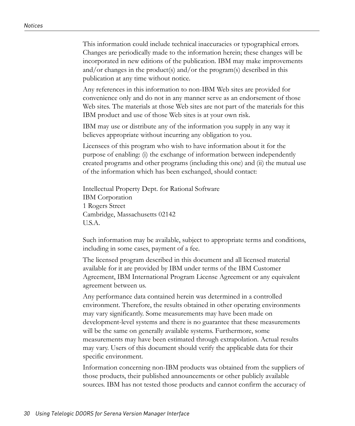This information could include technical inaccuracies or typographical errors. Changes are periodically made to the information herein; these changes will be incorporated in new editions of the publication. IBM may make improvements and/or changes in the product(s) and/or the program(s) described in this publication at any time without notice.

Any references in this information to non-IBM Web sites are provided for convenience only and do not in any manner serve as an endorsement of those Web sites. The materials at those Web sites are not part of the materials for this IBM product and use of those Web sites is at your own risk.

IBM may use or distribute any of the information you supply in any way it believes appropriate without incurring any obligation to you.

Licensees of this program who wish to have information about it for the purpose of enabling: (i) the exchange of information between independently created programs and other programs (including this one) and (ii) the mutual use of the information which has been exchanged, should contact:

Intellectual Property Dept. for Rational Software IBM Corporation 1 Rogers Street Cambridge, Massachusetts 02142 U.S.A.

Such information may be available, subject to appropriate terms and conditions, including in some cases, payment of a fee.

The licensed program described in this document and all licensed material available for it are provided by IBM under terms of the IBM Customer Agreement, IBM International Program License Agreement or any equivalent agreement between us.

Any performance data contained herein was determined in a controlled environment. Therefore, the results obtained in other operating environments may vary significantly. Some measurements may have been made on development-level systems and there is no guarantee that these measurements will be the same on generally available systems. Furthermore, some measurements may have been estimated through extrapolation. Actual results may vary. Users of this document should verify the applicable data for their specific environment.

Information concerning non-IBM products was obtained from the suppliers of those products, their published announcements or other publicly available sources. IBM has not tested those products and cannot confirm the accuracy of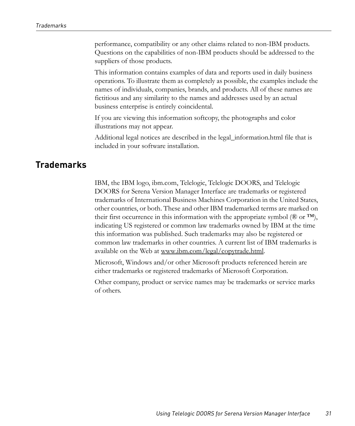performance, compatibility or any other claims related to non-IBM products. Questions on the capabilities of non-IBM products should be addressed to the suppliers of those products.

This information contains examples of data and reports used in daily business operations. To illustrate them as completely as possible, the examples include the names of individuals, companies, brands, and products. All of these names are fictitious and any similarity to the names and addresses used by an actual business enterprise is entirely coincidental.

If you are viewing this information softcopy, the photographs and color illustrations may not appear.

Additional legal notices are described in the legal\_information.html file that is included in your software installation.

### <span id="page-36-0"></span>**Trademarks**

IBM, the IBM logo, ibm.com, Telelogic, Telelogic DOORS, and Telelogic DOORS for Serena Version Manager Interface are trademarks or registered trademarks of International Business Machines Corporation in the United States, other countries, or both. These and other IBM trademarked terms are marked on their first occurrence in this information with the appropriate symbol ( $\mathcal{R}$  or  $TM$ ), indicating US registered or common law trademarks owned by IBM at the time this information was published. Such trademarks may also be registered or common law trademarks in other countries. A current list of IBM trademarks is available on the Web at www.ibm.com/legal/copytrade.html.

Microsoft, Windows and/or other Microsoft products referenced herein are either trademarks or registered trademarks of Microsoft Corporation.

Other company, product or service names may be trademarks or service marks of others.